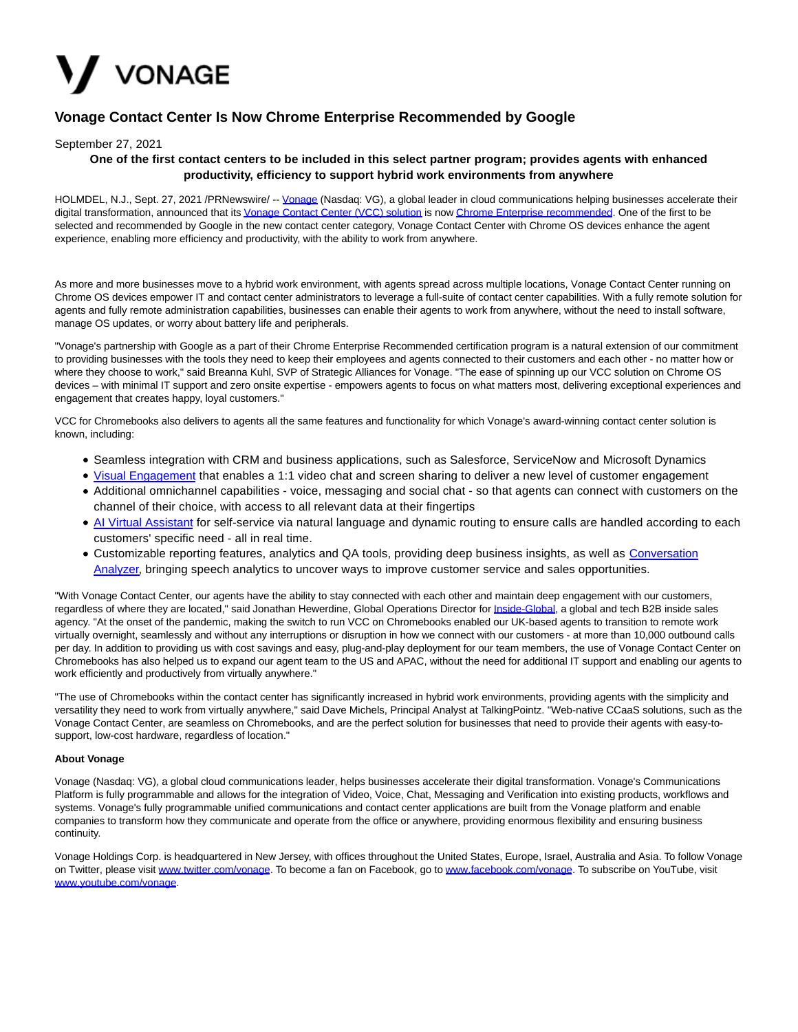

# **Vonage Contact Center Is Now Chrome Enterprise Recommended by Google**

### September 27, 2021

## **One of the first contact centers to be included in this select partner program; provides agents with enhanced productivity, efficiency to support hybrid work environments from anywhere**

HOLMDEL, N.J., Sept. 27, 2021 /PRNewswire/ -- [Vonage \(](https://c212.net/c/link/?t=0&l=en&o=3303644-1&h=1992454639&u=https%3A%2F%2Fwww.vonage.com%2F&a=Vonage)Nasdaq: VG), a global leader in cloud communications helping businesses accelerate their digital transformation, announced that it[s Vonage Contact Center \(VCC\) solution i](https://c212.net/c/link/?t=0&l=en&o=3303644-1&h=3577546319&u=https%3A%2F%2Fwww.vonage.com%2Fcontact-centers%2F%3Ficmp%3Dmainnav_products_contactcenters&a=Vonage+Contact+Center+(VCC)+solution)s no[w Chrome Enterprise recommended.](https://c212.net/c/link/?t=0&l=en&o=3303644-1&h=1935025066&u=https%3A%2F%2Fchromeenterprise.google%2Fos%2Frecommended%2F&a=Chrome+Enterprise+recommended) One of the first to be selected and recommended by Google in the new contact center category, Vonage Contact Center with Chrome OS devices enhance the agent experience, enabling more efficiency and productivity, with the ability to work from anywhere.

As more and more businesses move to a hybrid work environment, with agents spread across multiple locations, Vonage Contact Center running on Chrome OS devices empower IT and contact center administrators to leverage a full-suite of contact center capabilities. With a fully remote solution for agents and fully remote administration capabilities, businesses can enable their agents to work from anywhere, without the need to install software, manage OS updates, or worry about battery life and peripherals.

"Vonage's partnership with Google as a part of their Chrome Enterprise Recommended certification program is a natural extension of our commitment to providing businesses with the tools they need to keep their employees and agents connected to their customers and each other - no matter how or where they choose to work," said Breanna Kuhl, SVP of Strategic Alliances for Vonage. "The ease of spinning up our VCC solution on Chrome OS devices – with minimal IT support and zero onsite expertise - empowers agents to focus on what matters most, delivering exceptional experiences and engagement that creates happy, loyal customers."

VCC for Chromebooks also delivers to agents all the same features and functionality for which Vonage's award-winning contact center solution is known, including:

- Seamless integration with CRM and business applications, such as Salesforce, ServiceNow and Microsoft Dynamics
- [Visual Engagement t](https://c212.net/c/link/?t=0&l=en&o=3303644-1&h=1136361635&u=https%3A%2F%2Fwww.vonage.com%2Fcontact-centers%2Ffeatures%2Fvisual-engagement%2F&a=Visual+Engagement)hat enables a 1:1 video chat and screen sharing to deliver a new level of customer engagement
- Additional omnichannel capabilities voice, messaging and social chat so that agents can connect with customers on the channel of their choice, with access to all relevant data at their fingertips
- [AI Virtual Assistant f](https://c212.net/c/link/?t=0&l=en&o=3303644-1&h=3949531724&u=https%3A%2F%2Fwww.vonage.com%2Fcontact-centers%2Ffeatures%2Fai-virtual-assistant%2F&a=AI+Virtual+Assistant)or self-service via natural language and dynamic routing to ensure calls are handled according to each customers' specific need - all in real time.
- Customizable reporting features, analytics and QA tools, providing deep business insights, as well as [Conversation](https://c212.net/c/link/?t=0&l=en&o=3303644-1&h=137472303&u=https%3A%2F%2Fwww.vonage.com%2Fcontact-centers%2Ffeatures%2Fspeech-analytics%2F&a=Conversation+Analyzer) Analyzer, bringing speech analytics to uncover ways to improve customer service and sales opportunities.

"With Vonage Contact Center, our agents have the ability to stay connected with each other and maintain deep engagement with our customers, regardless of where they are located," said Jonathan Hewerdine, Global Operations Director fo[r Inside-Global,](https://c212.net/c/link/?t=0&l=en&o=3303644-1&h=2854624708&u=https%3A%2F%2Fwww.vonage.com%2Fresources%2Fcustomers%2Finside-marketing%2F&a=Inside-Global) a global and tech B2B inside sales agency. "At the onset of the pandemic, making the switch to run VCC on Chromebooks enabled our UK-based agents to transition to remote work virtually overnight, seamlessly and without any interruptions or disruption in how we connect with our customers - at more than 10,000 outbound calls per day. In addition to providing us with cost savings and easy, plug-and-play deployment for our team members, the use of Vonage Contact Center on Chromebooks has also helped us to expand our agent team to the US and APAC, without the need for additional IT support and enabling our agents to work efficiently and productively from virtually anywhere."

"The use of Chromebooks within the contact center has significantly increased in hybrid work environments, providing agents with the simplicity and versatility they need to work from virtually anywhere," said Dave Michels, Principal Analyst at TalkingPointz. "Web-native CCaaS solutions, such as the Vonage Contact Center, are seamless on Chromebooks, and are the perfect solution for businesses that need to provide their agents with easy-tosupport, low-cost hardware, regardless of location."

### **About Vonage**

Vonage (Nasdaq: VG), a global cloud communications leader, helps businesses accelerate their digital transformation. Vonage's Communications Platform is fully programmable and allows for the integration of Video, Voice, Chat, Messaging and Verification into existing products, workflows and systems. Vonage's fully programmable unified communications and contact center applications are built from the Vonage platform and enable companies to transform how they communicate and operate from the office or anywhere, providing enormous flexibility and ensuring business continuity.

Vonage Holdings Corp. is headquartered in New Jersey, with offices throughout the United States, Europe, Israel, Australia and Asia. To follow Vonage on Twitter, please visit [www.twitter.com/vonage.](https://c212.net/c/link/?t=0&l=en&o=3303644-1&h=1291469097&u=http%3A%2F%2Fwww.twitter.com%2Fvonage&a=www.twitter.com%2Fvonage) To become a fan on Facebook, go t[o www.facebook.com/vonage.](https://c212.net/c/link/?t=0&l=en&o=3303644-1&h=1441512642&u=http%3A%2F%2Fwww.facebook.com%2Fvonage&a=www.facebook.com%2Fvonage) To subscribe on YouTube, visit [www.youtube.com/vonage.](https://c212.net/c/link/?t=0&l=en&o=3303644-1&h=332072446&u=http%3A%2F%2Fwww.youtube.com%2Fvonage&a=www.youtube.com%2Fvonage)